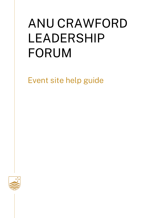# ANU CRAWFORD LEADERSHIP FORUM

Event site help guide

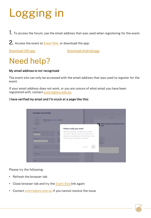# Logging in

1. To access the forum, use the email address that was used when registering for the event.

2. Access the event at **Event Site** or download the app:

[Download iOS app](https://apps.apple.com/app/id1327334423) [Download Andriod](https://play.google.com/store/apps/details?id=com.attendify.conf2a2ab5) app

### Need help?

### My email address is not recognised

The event site can only be accessed with the email address that was used to register for the event.

If your email address does not work, or you are unsure of what email you have been registered with, contact [events@anu.edu.au.](mailto:events@anu.edu.au)

### I have verified my email and I'm stuck at a page like this:

| t<br>JPG or PNG | Drag & drop or select a photo |                                                                                                                                         | <b>STATISTICS</b><br><b>ANU Crawford Leadership Forum</b> |
|-----------------|-------------------------------|-----------------------------------------------------------------------------------------------------------------------------------------|-----------------------------------------------------------|
|                 |                               |                                                                                                                                         | 2021                                                      |
| Profile         |                               | Please verify your email                                                                                                                |                                                           |
| First Name *    | Tı.                           | Before continuing, we need you to verify<br>your email. Please check your inbox for an<br>email from Attendify and click the link. Once |                                                           |
| Position        | Co<br>DI                      | you're done, click below to confirm.                                                                                                    | f                                                         |
| Objective       |                               | Cancel                                                                                                                                  |                                                           |
| Location        |                               |                                                                                                                                         |                                                           |

Please try the following:

- Refresh the browser tab
- Close browser tab and try the [Event Site l](https://ve.attendify.com/index/2a2ab5/fu1yzo1/login)ink again
- Contact [events@anu.edu.au](mailto:events@anu.edu.au) if you cannot resolve the issue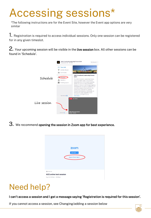## Accessing sessions\*

\*The following instructions are for the Event Site, however the Event app options are very similar

1. Registration is required to access individual sessions. Only one session can be registered for in any given timeslot.

2. Your upcoming session will be visible in the live session box. All other sessions can be found in 'Schedule'.



3. We recommend opening the session in Zoom app for best experience.



### Need help?

I can't access a session and I get a message saying 'Registration is required for this session'.

If you cannot access a session, see Changing/adding a session below

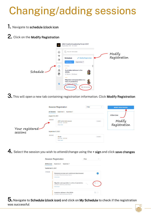## Changing/adding sessions

- 1. Navigate to schedule (clock icon
- 2. Click on the Modify Registration

|          |                       | ANU Crawford Leadership Forum 2021<br>September 06 - 07, 2021                                                                           |
|----------|-----------------------|-----------------------------------------------------------------------------------------------------------------------------------------|
|          | ♤<br>ຈົ)<br>ၼိ        | Search Schedule<br>ld<br>Modify<br>Registration<br><b><i>A</i></b> Modify Registration<br><b>Schedule</b><br>September 6<br>September 7 |
| Schedule | ↔<br>丞<br>$\mathbb B$ | 07:30am<br>Australian defence in the<br>b<br>2020s<br>07:30am - 08:45am                                                                 |
|          | tt                    | Migration and population in a<br>time of pandemics<br>07:30am - 08:45am<br>My Schedule<br><b>Full Schedule</b>                          |

 ${\bf 3.}$  This will open a new tab containing registration information. Click **Modify Registration** 

|                              | <b>Session Registration</b>                                             | Filter<br>$\sim$ | <b>MODIFY REGISTRATION</b> |
|------------------------------|-------------------------------------------------------------------------|------------------|----------------------------|
|                              | September 6<br><b>All Sessions</b><br>September 7                       |                  |                            |
|                              | August 16, 2021                                                         | Attendee         |                            |
|                              | 09:00 AM<br>ACE online test session<br>09:00 AM - 06:00 PM<br>Show more | Included         | Modify<br>Registration     |
| Your registered—<br>sessions | September 6, 2021                                                       |                  |                            |
|                              | 08:45 AM<br><b>Break</b><br>08:45 AM - 09:00 AM<br>Show more            | Included         |                            |

 $\boldsymbol{4}.$  Select the session you wish to attend/change using the  $\boldsymbol{*}$  sign and click save changes



 ${\bf 5.}$  Navigate to Schedule (clock icon) and click on My Schedule to check if the registration was successful

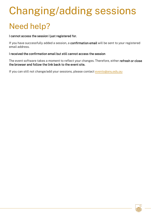# Need help? Changing/adding sessions

#### I cannot access the session I just registered for.

If you have successfully added a session, a confirmation email will be sent to your registered email address.

#### I received the confirmation email but still cannot access the session

The event software takes a moment to reflect your changes. Therefore, either refresh or close the browser and follow the link back to the event site.

If you can still not change/add your sessions, please contact [events@anu.edu.au](mailto:events@anu.edu.au)